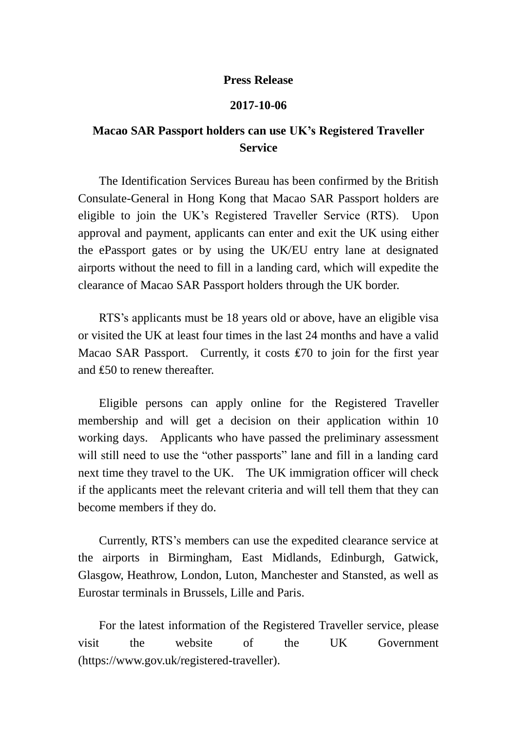## **Press Release**

## **2017-10-06**

## **Macao SAR Passport holders can use UK's Registered Traveller Service**

The Identification Services Bureau has been confirmed by the British Consulate-General in Hong Kong that Macao SAR Passport holders are eligible to join the UK's Registered Traveller Service (RTS). Upon approval and payment, applicants can enter and exit the UK using either the ePassport gates or by using the UK/EU entry lane at designated airports without the need to fill in a landing card, which will expedite the clearance of Macao SAR Passport holders through the UK border.

RTS's applicants must be 18 years old or above, have an eligible visa or visited the UK at least four times in the last 24 months and have a valid Macao SAR Passport. Currently, it costs ₤70 to join for the first year and ₤50 to renew thereafter.

Eligible persons can apply online for the Registered Traveller membership and will get a decision on their application within 10 working days. Applicants who have passed the preliminary assessment will still need to use the "other passports" lane and fill in a landing card next time they travel to the UK. The UK immigration officer will check if the applicants meet the relevant criteria and will tell them that they can become members if they do.

Currently, RTS's members can use the expedited clearance service at the airports in Birmingham, East Midlands, Edinburgh, Gatwick, Glasgow, Heathrow, London, Luton, Manchester and Stansted, as well as Eurostar terminals in Brussels, Lille and Paris.

For the latest information of the Registered Traveller service, please visit the website of the UK Government (https://www.gov.uk/registered-traveller).